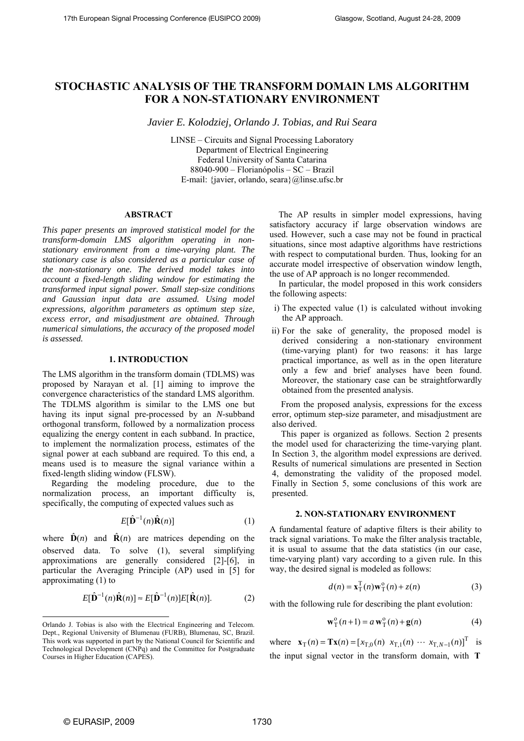# **STOCHASTIC ANALYSIS OF THE TRANSFORM DOMAIN LMS ALGORITHM FOR A NON-STATIONARY ENVIRONMENT**

*Javier E. Kolodziej, Orlando J. Tobias, and Rui Seara* 

LINSE – Circuits and Signal Processing Laboratory Department of Electrical Engineering Federal University of Santa Catarina 88040-900 – Florianópolis – SC – Brazil E-mail: {javier, orlando, seara}@linse.ufsc.br

# **ABSTRACT**

*This paper presents an improved statistical model for the transform-domain LMS algorithm operating in nonstationary environment from a time-varying plant. The stationary case is also considered as a particular case of the non-stationary one. The derived model takes into account a fixed-length sliding window for estimating the transformed input signal power. Small step-size conditions and Gaussian input data are assumed. Using model expressions, algorithm parameters as optimum step size, excess error, and misadjustment are obtained. Through numerical simulations, the accuracy of the proposed model is assessed.* 

## **1. INTRODUCTION**

The LMS algorithm in the transform domain (TDLMS) was proposed by Narayan et al. [1] aiming to improve the convergence characteristics of the standard LMS algorithm. The TDLMS algorithm is similar to the LMS one but having its input signal pre-processed by an *N*-subband orthogonal transform, followed by a normalization process equalizing the energy content in each subband. In practice, to implement the normalization process, estimates of the signal power at each subband are required. To this end, a means used is to measure the signal variance within a fixed-length sliding window (FLSW).

Regarding the modeling procedure, due to the normalization process, an important difficulty is, specifically, the computing of expected values such as

$$
E[\hat{\mathbf{D}}^{-1}(n)\hat{\mathbf{R}}(n)] \tag{1}
$$

where  $\hat{\mathbf{D}}(n)$  and  $\hat{\mathbf{R}}(n)$  are matrices depending on the observed data. To solve (1), several simplifying approximations are generally considered [2]-[6], in particular the Averaging Principle (AP) used in [5] for approximating (1) to

$$
E[\hat{\mathbf{D}}^{-1}(n)\hat{\mathbf{R}}(n)] \approx E[\hat{\mathbf{D}}^{-1}(n)]E[\hat{\mathbf{R}}(n)].
$$
 (2)

The AP results in simpler model expressions, having satisfactory accuracy if large observation windows are used. However, such a case may not be found in practical situations, since most adaptive algorithms have restrictions with respect to computational burden. Thus, looking for an accurate model irrespective of observation window length, the use of AP approach is no longer recommended.

In particular, the model proposed in this work considers the following aspects:

- i) The expected value (1) is calculated without invoking the AP approach.
- ii) For the sake of generality, the proposed model is derived considering a non-stationary environment (time-varying plant) for two reasons: it has large practical importance, as well as in the open literature only a few and brief analyses have been found. Moreover, the stationary case can be straightforwardly obtained from the presented analysis.

From the proposed analysis, expressions for the excess error, optimum step-size parameter, and misadjustment are also derived.

This paper is organized as follows. Section 2 presents the model used for characterizing the time-varying plant. In Section 3, the algorithm model expressions are derived. Results of numerical simulations are presented in Section 4, demonstrating the validity of the proposed model. Finally in Section 5, some conclusions of this work are presented.

## **2. NON-STATIONARY ENVIRONMENT**

A fundamental feature of adaptive filters is their ability to track signal variations. To make the filter analysis tractable, it is usual to assume that the data statistics (in our case, time-varying plant) vary according to a given rule. In this way, the desired signal is modeled as follows:

$$
d(n) = \mathbf{x}_T^T(n)\mathbf{w}_T^0(n) + z(n)
$$
 (3)

with the following rule for describing the plant evolution:

$$
\mathbf{w}_{\mathrm{T}}^{\mathrm{o}}(n+1) = a \mathbf{w}_{\mathrm{T}}^{\mathrm{o}}(n) + \mathbf{g}(n)
$$
 (4)

where  $\mathbf{x}_{T}(n) = \mathbf{T}\mathbf{x}(n) = [x_{T,0}(n) \ x_{T,1}(n) \ \cdots \ x_{T,N-1}(n)]^{T}$  is the input signal vector in the transform domain, with **T**

l Orlando J. Tobias is also with the Electrical Engineering and Telecom. Dept., Regional University of Blumenau (FURB), Blumenau, SC, Brazil. This work was supported in part by the National Council for Scientific and Technological Development (CNPq) and the Committee for Postgraduate Courses in Higher Education (CAPES).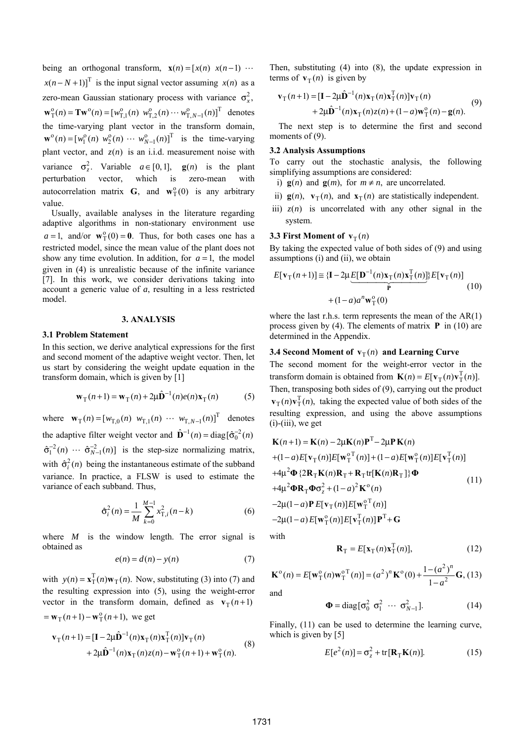being an orthogonal transform,  $\mathbf{x}(n) = [x(n) \ x(n-1) \ \cdots$  $x(n-N+1)$ <sup>T</sup> is the input signal vector assuming  $x(n)$  as a zero-mean Gaussian stationary process with variance  $\sigma_x^2$ ,  $\mathbf{w}_{\mathrm{T}}^{\mathrm{o}}(n) = \mathbf{T}\mathbf{w}^{\mathrm{o}}(n) = [w_{\mathrm{T},1}^{\mathrm{o}}(n) \ w_{\mathrm{T},2}^{\mathrm{o}}(n) \cdots w_{\mathrm{T},N-1}^{\mathrm{o}}(n)]^{\mathrm{T}}$  denotes the time-varying plant vector in the transform domain,  $\mathbf{w}^{\circ}(n) = [w_1^{\circ}(n) \ w_2^{\circ}(n) \ \cdots \ w_{N-1}^{\circ}(n)]^{\mathsf{T}}$  is the time-varying plant vector, and  $z(n)$  is an i.i.d. measurement noise with variance  $\sigma_z^2$ . Variable  $a \in [0,1]$ , **g**(*n*) is the plant perturbation vector, which is zero-mean with autocorrelation matrix **G**, and  $\mathbf{w}_T^0(0)$  is any arbitrary value.

Usually, available analyses in the literature regarding adaptive algorithms in non-stationary environment use  $a = 1$ , and/or  $\mathbf{w}_{\mathrm{T}}^{\mathrm{o}}(0) = \mathbf{0}$ . Thus, for both cases one has a restricted model, since the mean value of the plant does not show any time evolution. In addition, for  $a = 1$ , the model given in (4) is unrealistic because of the infinite variance [7]. In this work, we consider derivations taking into account a generic value of *a*, resulting in a less restricted model.

#### **3. ANALYSIS**

#### **3.1 Problem Statement**

In this section, we derive analytical expressions for the first and second moment of the adaptive weight vector. Then, let us start by considering the weight update equation in the transform domain, which is given by [1]

$$
\mathbf{w}_{\mathrm{T}}(n+1) = \mathbf{w}_{\mathrm{T}}(n) + 2\mu \hat{\mathbf{D}}^{-1}(n)e(n)\mathbf{x}_{\mathrm{T}}(n) \tag{5}
$$

where  $\mathbf{w}_{T}(n) = [w_{T,0}(n) \ w_{T,1}(n) \ \cdots \ w_{T,N-1}(n)]^{T}$  denotes the adaptive filter weight vector and  $\hat{\mathbf{D}}^{-1}(n) = \text{diag}[\hat{\sigma}_0^{-2}(n)]$  $\hat{\sigma}_1^{-2}(n) \cdots \hat{\sigma}_{N-1}^{-2}(n)$  is the step-size normalizing matrix, with  $\hat{\sigma}_i^2(n)$  being the instantaneous estimate of the subband variance. In practice, a FLSW is used to estimate the variance of each subband. Thus,

$$
\hat{\sigma}_i^2(n) = \frac{1}{M} \sum_{k=0}^{M-1} x_{\mathrm{T},i}^2(n-k)
$$
 (6)

where  $M$  is the window length. The error signal is obtained as

$$
e(n) = d(n) - y(n) \tag{7}
$$

with  $y(n) = \mathbf{x}_{\text{T}}^{\text{T}}(n)\mathbf{w}_{\text{T}}(n)$ . Now, substituting (3) into (7) and the resulting expression into (5), using the weight-error vector in the transform domain, defined as  $\mathbf{v}_{\text{T}}(n+1)$  $=$ **w**<sub>T</sub> $(n+1)$  –**w**<sup>0</sup><sub>T</sub> $(n+1)$ , we get

$$
\mathbf{v}_{\mathrm{T}}(n+1) = [\mathbf{I} - 2\mu \hat{\mathbf{D}}^{-1}(n)\mathbf{x}_{\mathrm{T}}(n)\mathbf{x}_{\mathrm{T}}^{T}(n)]\mathbf{v}_{\mathrm{T}}(n) + 2\mu \hat{\mathbf{D}}^{-1}(n)\mathbf{x}_{\mathrm{T}}(n)z(n) - \mathbf{w}_{\mathrm{T}}^{\mathrm{o}}(n+1) + \mathbf{w}_{\mathrm{T}}^{\mathrm{o}}(n).
$$
 (8)

Then, substituting (4) into (8), the update expression in terms of  $\mathbf{v}_{\text{T}}(n)$  is given by

$$
\mathbf{v}_{\mathrm{T}}(n+1) = [\mathbf{I} - 2\mu \hat{\mathbf{D}}^{-1}(n)\mathbf{x}_{\mathrm{T}}(n)\mathbf{x}_{\mathrm{T}}^{\mathrm{T}}(n)]\mathbf{v}_{\mathrm{T}}(n) + 2\mu \hat{\mathbf{D}}^{-1}(n)\mathbf{x}_{\mathrm{T}}(n)z(n) + (1-a)\mathbf{w}_{\mathrm{T}}^{\mathrm{o}}(n) - \mathbf{g}(n).
$$
 (9)

The next step is to determine the first and second moments of  $(9)$ .

#### **3.2 Analysis Assumptions**

To carry out the stochastic analysis, the following simplifying assumptions are considered:

- i)  $g(n)$  and  $g(m)$ , for  $m \neq n$ , are uncorrelated.
- ii)  $\mathbf{g}(n)$ ,  $\mathbf{v}_{\text{T}}(n)$ , and  $\mathbf{x}_{\text{T}}(n)$  are statistically independent.
- iii)  $z(n)$  is uncorrelated with any other signal in the system.

### **3.3 First Moment of**  $\mathbf{v}_T(n)$

By taking the expected value of both sides of (9) and using assumptions (i) and (ii), we obtain

$$
E[\mathbf{v}_{\mathrm{T}}(n+1)] \approx \{ \mathbf{I} - 2\mu \underbrace{E[\mathbf{D}^{-1}(n)\mathbf{x}_{\mathrm{T}}(n)\mathbf{x}_{\mathrm{T}}^{T}(n)]}_{\mathbf{P}} E[\mathbf{v}_{\mathrm{T}}(n)] + (1 - a)a^{n}\mathbf{w}_{\mathrm{T}}^{o}(0)
$$
\n(10)

where the last r.h.s. term represents the mean of the  $AR(1)$ process given by (4). The elements of matrix **P** in (10) are determined in the Appendix.

### **3.4 Second Moment of**  $\mathbf{v}_T(n)$  **and Learning Curve**

The second moment for the weight-error vector in the transform domain is obtained from  $\mathbf{K}(n) = E[\mathbf{v}_{T}(n)\mathbf{v}_{T}^{T}(n)].$ Then, transposing both sides of (9), carrying out the product  $\mathbf{v}_{\mathrm{T}}(n)\mathbf{v}_{\mathrm{T}}^{\mathrm{T}}(n)$ , taking the expected value of both sides of the resulting expression, and using the above assumptions  $(i)$ - $(iii)$ , we get

$$
\mathbf{K}(n+1) = \mathbf{K}(n) - 2\mu \mathbf{K}(n)\mathbf{P}^{\mathrm{T}} - 2\mu \mathbf{P} \mathbf{K}(n)
$$
  
+ (1-a)  $E[\mathbf{v}_{\mathrm{T}}(n)]E[\mathbf{w}_{\mathrm{T}}^{\mathrm{o}\mathrm{T}}(n)] + (1-a)E[\mathbf{w}_{\mathrm{T}}^{\mathrm{o}}(n)]E[\mathbf{v}_{\mathrm{T}}^{\mathrm{T}}(n)]$   
+4 $\mu^2 \Phi$  {2 $\mathbf{R}_{\mathrm{T}}\mathbf{K}(n)\mathbf{R}_{\mathrm{T}} + \mathbf{R}_{\mathrm{T}}\text{tr}[\mathbf{K}(n)\mathbf{R}_{\mathrm{T}}]} \Phi$   
+4 $\mu^2 \Phi \mathbf{R}_{\mathrm{T}} \Phi \sigma_z^2 + (1-a)^2 \mathbf{K}^{\mathrm{o}}(n)$   
-2 $\mu$ (1-a)  $\mathbf{P} E[\mathbf{v}_{\mathrm{T}}(n)]E[\mathbf{w}_{\mathrm{T}}^{\mathrm{o}\mathrm{T}}(n)]$   
-2 $\mu$ (1-a)  $E[\mathbf{w}_{\mathrm{T}}^{\mathrm{o}}(n)]E[\mathbf{v}_{\mathrm{T}}^{\mathrm{T}}(n)]\mathbf{P}^{\mathrm{T}} + \mathbf{G}$ 

with

$$
\mathbf{R}_{\mathrm{T}} = E[\mathbf{x}_{\mathrm{T}}(n)\mathbf{x}_{\mathrm{T}}^{\mathrm{T}}(n)],\tag{12}
$$

$$
\mathbf{K}^{\text{o}}(n) = E[\mathbf{w}_{\text{T}}^{\text{o}}(n)\mathbf{w}_{\text{T}}^{\text{o}}^{\text{T}}(n)] = (a^2)^n \mathbf{K}^{\text{o}}(0) + \frac{1 - (a^2)^n}{1 - a^2} \mathbf{G},
$$
 (13)

and

$$
\mathbf{\Phi} = \text{diag}[\sigma_0^2 \; \sigma_1^2 \; \cdots \; \sigma_{N-1}^2]. \tag{14}
$$

Finally, (11) can be used to determine the learning curve, which is given by [5]

$$
E[e2(n)] = \sigma_z2 + tr[\mathbf{R}_{\mathrm{T}}\mathbf{K}(n)].
$$
 (15)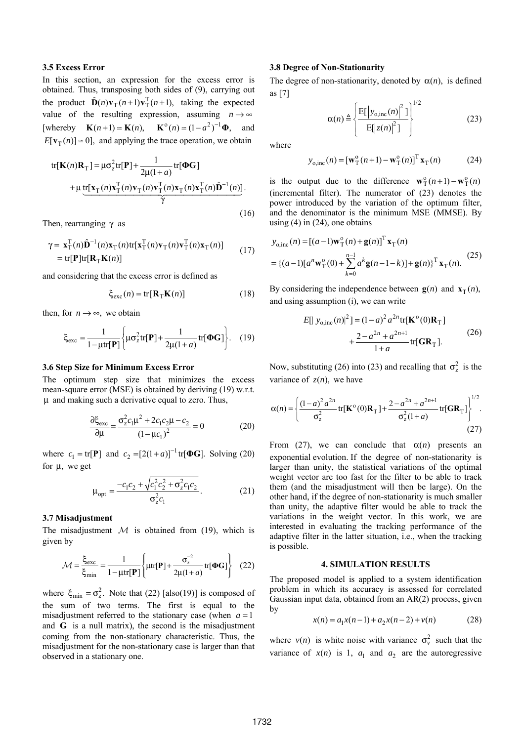## **3.5 Excess Error**

In this section, an expression for the excess error is obtained. Thus, transposing both sides of (9), carrying out the product  $\hat{\mathbf{D}}(n)\mathbf{v}_{\text{T}}(n+1)\mathbf{v}_{\text{T}}^{\text{T}}(n+1)$ , taking the expected value of the resulting expression, assuming  $n \rightarrow \infty$ [whereby  $\mathbf{K}(n+1) \approx \mathbf{K}(n), \mathbf{K}^0(n) \approx (1 - a^2)^{-1} \mathbf{\Phi}$ , and  $E[v_T(n)] \approx 0$ , and applying the trace operation, we obtain

tr[
$$
\mathbf{K}(n)\mathbf{R}_{\mathrm{T}}
$$
] =  $\mu\sigma_z^2$ tr[ $\mathbf{P}$ ] +  $\frac{1}{2\mu(1+a)}$ tr[ $\Phi\mathbf{G}$ ]  
+  $\mu$ tr[ $\mathbf{x}_{\mathrm{T}}(n)\mathbf{x}_{\mathrm{T}}^{\mathrm{T}}(n)\mathbf{v}_{\mathrm{T}}(n)\mathbf{v}_{\mathrm{T}}^{\mathrm{T}}(n)\mathbf{x}_{\mathrm{T}}(n)\mathbf{x}_{\mathrm{T}}^{\mathrm{T}}(n)\hat{\mathbf{D}}^{-1}(n)]$ .  
 $\gamma$  (16)

Then, rearranging  $\gamma$  as

$$
\gamma = \mathbf{x}_{\mathrm{T}}^{\mathrm{T}}(n)\hat{\mathbf{D}}^{-1}(n)\mathbf{x}_{\mathrm{T}}(n)\mathrm{tr}[\mathbf{x}_{\mathrm{T}}^{\mathrm{T}}(n)\mathbf{v}_{\mathrm{T}}(n)\mathbf{v}_{\mathrm{T}}^{\mathrm{T}}(n)\mathbf{x}_{\mathrm{T}}(n)]
$$
  
= tr[\mathbf{P}]\mathrm{tr}[\mathbf{R}\_{\mathrm{T}}\mathbf{K}(n)] (17)

and considering that the excess error is defined as

$$
\xi_{\rm exc}(n) = \text{tr}[\mathbf{R}_{\rm T}\mathbf{K}(n)]\tag{18}
$$

then, for  $n \rightarrow \infty$ , we obtain

$$
\xi_{\text{exc}} = \frac{1}{1 - \mu \text{tr}[\mathbf{P}]} \left\{ \mu \sigma_z^2 \text{tr}[\mathbf{P}] + \frac{1}{2\mu(1+a)} \text{tr}[\mathbf{\Phi} \mathbf{G}] \right\}. \quad (19)
$$

#### **3.6 Step Size for Minimum Excess Error**

The optimum step size that minimizes the excess mean-square error (MSE) is obtained by deriving (19) w.r.t. μ and making such a derivative equal to zero. Thus,

$$
\frac{\partial \xi_{\text{exc}}}{\partial \mu} = \frac{\sigma_z^2 c_1 \mu^2 + 2c_1 c_2 \mu - c_2}{(1 - \mu c_1)^2} = 0
$$
 (20)

where  $c_1 = \text{tr}[\mathbf{P}]$  and  $c_2 = [2(1+a)]^{-1} \text{tr}[\mathbf{\Phi} \mathbf{G}]$ . Solving (20) for  $\mu$ , we get

$$
\mu_{opt} = \frac{-c_1 c_2 + \sqrt{c_1^2 c_2^2 + \sigma_z^2 c_1 c_2}}{\sigma_z^2 c_1}.
$$
\n(21)

### **3.7 Misadjustment**

The misadjustment  $M$  is obtained from (19), which is given by

$$
\mathcal{M} = \frac{\xi_{\text{exc}}}{\xi_{\text{min}}} = \frac{1}{1 - \mu \text{tr}[\mathbf{P}]} \left\{ \mu \text{tr}[\mathbf{P}] + \frac{\sigma_z^{-2}}{2\mu(1+a)} \text{tr}[\mathbf{\Phi} \mathbf{G}] \right\}
$$
(22)

where  $\xi_{\text{min}} = \sigma_z^2$ . Note that (22) [also(19)] is composed of the sum of two terms. The first is equal to the misadjustment referred to the stationary case (when  $a = 1$ ) and **G** is a null matrix), the second is the misadjustment coming from the non-stationary characteristic. Thus, the misadjustment for the non-stationary case is larger than that observed in a stationary one.

### **3.8 Degree of Non-Stationarity**

The degree of non-stationarity, denoted by  $\alpha(n)$ , is defined as [7]

$$
\alpha(n) \triangleq \left\{ \frac{\mathrm{E}[|y_{\mathrm{o},\mathrm{inc}}(n)|^2]}{\mathrm{E}[|z(n)|^2]} \right\}^{1/2}
$$
 (23)

where

$$
y_{\text{o,inc}}(n) = \left[\mathbf{w}_{\text{T}}^{\text{o}}(n+1) - \mathbf{w}_{\text{T}}^{\text{o}}(n)\right]^{\text{T}} \mathbf{x}_{\text{T}}(n) \tag{24}
$$

is the output due to the difference  $\mathbf{w}_{\mathrm{T}}^{\mathrm{o}}(n+1) - \mathbf{w}_{\mathrm{T}}^{\mathrm{o}}(n)$ (incremental filter). The numerator of (23) denotes the power introduced by the variation of the optimum filter, and the denominator is the minimum MSE (MMSE). By using  $(4)$  in  $(24)$ , one obtains

$$
y_{o,\text{inc}}(n) = [(a-1)\mathbf{w}_T^o(n) + \mathbf{g}(n)]^T \mathbf{x}_T(n)
$$
  
= {(a-1)[a^n\mathbf{w}\_T^o(0) +  $\sum_{k=0}^{n-1} a^k \mathbf{g}(n-1-k)] + \mathbf{g}(n)_T^T \mathbf{x}_T(n).$  (25)

By considering the independence between  $g(n)$  and  $x_T(n)$ , and using assumption (i), we can write

$$
E[|y_{o,\text{inc}}(n)|^2] = (1-a)^2 a^{2n} \text{tr}[\mathbf{K}^{\text{o}}(0)\mathbf{R}_{\text{T}}] + \frac{2-a^{2n}+a^{2n+1}}{1+a} \text{tr}[\mathbf{G}\mathbf{R}_{\text{T}}].
$$
 (26)

Now, substituting (26) into (23) and recalling that  $\sigma_z^2$  is the variance of  $z(n)$ , we have

$$
\alpha(n) = \left\{ \frac{(1-a)^2 a^{2n}}{\sigma_z^2} \text{tr}[\mathbf{K}^\circ(0)\mathbf{R}_T] + \frac{2 - a^{2n} + a^{2n+1}}{\sigma_z^2(1+a)} \text{tr}[\mathbf{G}\mathbf{R}_T] \right\}^{1/2}.
$$
\n(27)

From (27), we can conclude that  $\alpha(n)$  presents an exponential evolution. If the degree of non-stationarity is larger than unity, the statistical variations of the optimal weight vector are too fast for the filter to be able to track them (and the misadjustment will then be large). On the other hand, if the degree of non-stationarity is much smaller than unity, the adaptive filter would be able to track the variations in the weight vector. In this work, we are interested in evaluating the tracking performance of the adaptive filter in the latter situation, i.e., when the tracking is possible.

#### **4. SIMULATION RESULTS**

The proposed model is applied to a system identification problem in which its accuracy is assessed for correlated Gaussian input data, obtained from an AR(2) process, given by

$$
x(n) = a_1 x(n-1) + a_2 x(n-2) + v(n)
$$
 (28)

where  $v(n)$  is white noise with variance  $\sigma_v^2$  such that the variance of  $x(n)$  is 1,  $a_1$  and  $a_2$  are the autoregressive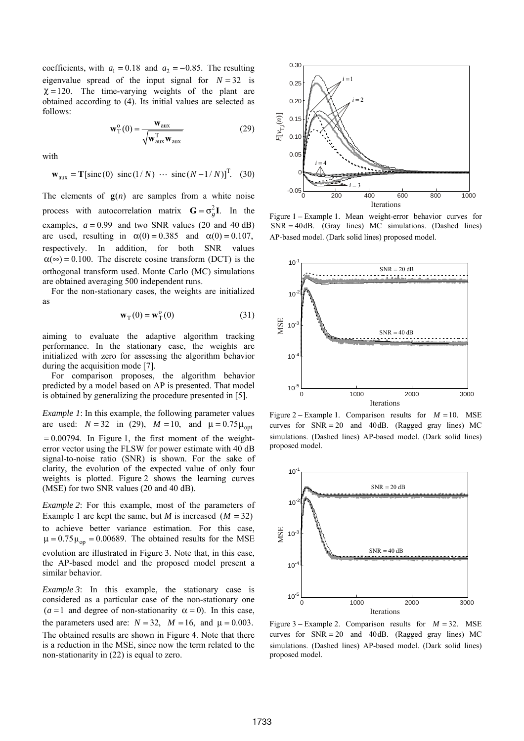coefficients, with  $a_1 = 0.18$  and  $a_2 = -0.85$ . The resulting eigenvalue spread of the input signal for  $N = 32$  is  $\chi = 120$ . The time-varying weights of the plant are obtained according to (4). Its initial values are selected as follows:

$$
\mathbf{w}_{\mathrm{T}}^{\mathrm{o}}(0) = \frac{\mathbf{w}_{\mathrm{aux}}}{\sqrt{\mathbf{w}_{\mathrm{aux}}^{\mathrm{T}} \mathbf{w}_{\mathrm{aux}}}}
$$
(29)

with

$$
\mathbf{w}_{\text{aux}} = \mathbf{T}[\text{sinc}(0) \ \text{sinc}(1/N) \ \cdots \ \text{sinc}(N-1/N)]^{\text{T}}.
$$
 (30)

The elements of  $g(n)$  are samples from a white noise process with autocorrelation matrix  $G = \sigma_a^2 I$ . In the examples,  $a = 0.99$  and two SNR values (20 and 40 dB) are used, resulting in  $\alpha(0) = 0.385$  and  $\alpha(0) = 0.107$ , respectively. In addition, for both SNR values  $\alpha(\infty) = 0.100$ . The discrete cosine transform (DCT) is the orthogonal transform used. Monte Carlo (MC) simulations are obtained averaging 500 independent runs.

For the non-stationary cases, the weights are initialized as

$$
\mathbf{w}_{\mathrm{T}}(0) = \mathbf{w}_{\mathrm{T}}^{0}(0) \tag{31}
$$

aiming to evaluate the adaptive algorithm tracking performance. In the stationary case, the weights are initialized with zero for assessing the algorithm behavior during the acquisition mode [7].

For comparison proposes, the algorithm behavior predicted by a model based on AP is presented. That model is obtained by generalizing the procedure presented in [5].

*Example 1*: In this example, the following parameter values are used:  $N = 32$  in (29),  $M = 10$ , and  $\mu = 0.75\mu_{\text{opt}}$  $= 0.00794$ . In Figure 1, the first moment of the weighterror vector using the FLSW for power estimate with 40 dB signal-to-noise ratio (SNR) is shown. For the sake of clarity, the evolution of the expected value of only four weights is plotted. Figure 2 shows the learning curves (MSE) for two SNR values (20 and 40 dB).

*Example 2*: For this example, most of the parameters of Example 1 are kept the same, but *M* is increased  $(M = 32)$ to achieve better variance estimation. For this case,  $\mu = 0.75 \mu_{op} = 0.00689$ . The obtained results for the MSE evolution are illustrated in Figure 3. Note that, in this case, the AP-based model and the proposed model present a similar behavior.

*Example 3*: In this example, the stationary case is considered as a particular case of the non-stationary one  $(a = 1$  and degree of non-stationarity  $\alpha = 0$ ). In this case, the parameters used are:  $N = 32$ ,  $M = 16$ , and  $\mu = 0.003$ . The obtained results are shown in Figure 4. Note that there is a reduction in the MSE, since now the term related to the non-stationarity in (22) is equal to zero.



Figure 1 **–** Example 1. Mean weight-error behavior curves for  $SNR = 40dB$ . (Gray lines) MC simulations. (Dashed lines) AP-based model. (Dark solid lines) proposed model.



Figure 2 – Example 1. Comparison results for  $M = 10$ . MSE curves for  $SNR = 20$  and 40dB. (Ragged gray lines) MC simulations. (Dashed lines) AP-based model. (Dark solid lines) proposed model.



Figure 3 – Example 2. Comparison results for  $M = 32$ . MSE curves for  $SNR = 20$  and 40dB. (Ragged gray lines) MC simulations. (Dashed lines) AP-based model. (Dark solid lines) proposed model.